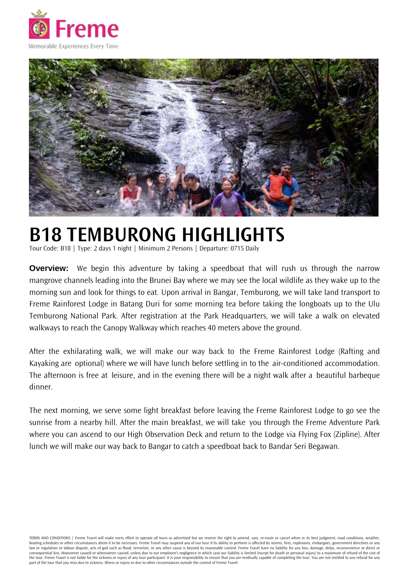



# **B18 TEMBURONG HIGHLIGHTS**

Tour Code: B18 | Type: 2 days 1 night | Minimum 2 Persons | Departure: 0715 Daily

**Overview:** We begin this adventure by taking a speedboat that will rush us through the narrow mangrove channels leading into the Brunei Bay where we may see the local wildlife as they wake up to the morning sun and look for things to eat. Upon arrival in Bangar, Temburong, we will take land transport to Freme Rainforest Lodge in Batang Duri for some morning tea before taking the longboats up to the Ulu Temburong National Park. After registration at the Park Headquarters, we will take a walk on elevated walkways to reach the Canopy Walkway which reaches 40 meters above the ground.

After the exhilarating walk, we will make our way back to the Freme Rainforest Lodge (Rafting and Kayaking are optional) where we will have lunch before settling in to the air-conditioned accommodation. The afternoon is free at leisure, and in the evening there will be a night walk after a beautiful barbeque dinner.

The next morning, we serve some light breakfast before leaving the Freme Rainforest Lodge to go see the sunrise from a nearby hill. After the main breakfast, we will take you through the Freme Adventure Park where you can ascend to our High Observation Deck and return to the Lodge via Flying Fox (Zipline). After lunch we will make our way back to Bangar to catch a speedboat back to Bandar Seri Begawan.

TERMS AND CONDITIONS | Freme Travel will make every effort to operate all tours as advertised but we reserve the right to amend, vary, re-route or cancel when in its best judgment, road conditions, weather, boating schedules or other circumstances deem it to be necessary. Freme Travel may suspend any of our tour if its ability to perform is affected by storms, fires, explosions, embargoes, government directives or any law or regulation or labour dispute, acts of god such as flood, terrorism, or any other cause is beyond its reasonable control. Freme Travel have no liability for any loss, damage, delay, inconvenience or direct or consequential loss. Howsoever caused or whensoever caused, unless due to our employee's negligence in which case our liability is limited (except for death or personal injury) to a maximum of refund of the cost of the tour. Freme Travel is not liable for the sickness or injury of any tour participant. It is your responsibility to ensure that you are medically capable of completing the tour. You are not entitled to any refund for any part of the tour that you miss due to sickness. Illness or injury or due to other circumstances outside the control of Freme Travel.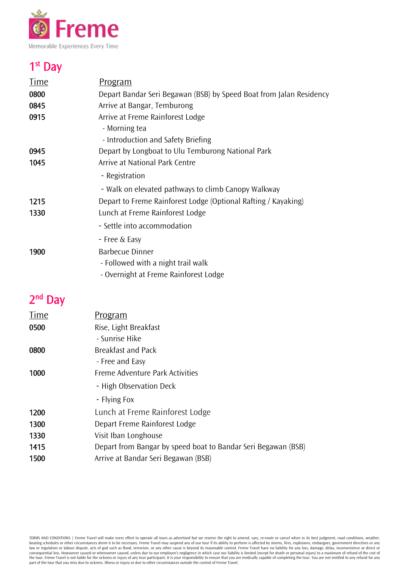

# 1<sup>st</sup> Day

| <u>Time</u> | Program                                                             |
|-------------|---------------------------------------------------------------------|
| 0800        | Depart Bandar Seri Begawan (BSB) by Speed Boat from Jalan Residency |
| 0845        | Arrive at Bangar, Temburong                                         |
| 0915        | Arrive at Freme Rainforest Lodge                                    |
|             | - Morning tea                                                       |
|             | - Introduction and Safety Briefing                                  |
| 0945        | Depart by Longboat to Ulu Temburong National Park                   |
| 1045        | Arrive at National Park Centre                                      |
|             | - Registration                                                      |
|             | - Walk on elevated pathways to climb Canopy Walkway                 |
| 1215        | Depart to Freme Rainforest Lodge (Optional Rafting / Kayaking)      |
| 1330        | Lunch at Freme Rainforest Lodge                                     |
|             | - Settle into accommodation                                         |
|             | - Free & Easy                                                       |
| 1900        | Barbecue Dinner                                                     |
|             | - Followed with a night trail walk                                  |
|             | - Overnight at Freme Rainforest Lodge                               |
|             |                                                                     |

## 2<sup>nd</sup> Day

| Time | <u>Program</u>                                                |
|------|---------------------------------------------------------------|
| 0500 | Rise, Light Breakfast                                         |
|      | - Sunrise Hike                                                |
| 0800 | <b>Breakfast and Pack</b>                                     |
|      | - Free and Easy                                               |
| 1000 | Freme Adventure Park Activities                               |
|      | - High Observation Deck                                       |
|      | - Flying Fox                                                  |
| 1200 | Lunch at Freme Rainforest Lodge                               |
| 1300 | Depart Freme Rainforest Lodge                                 |
| 1330 | Visit Iban Longhouse                                          |
| 1415 | Depart from Bangar by speed boat to Bandar Seri Begawan (BSB) |
| 1500 | Arrive at Bandar Seri Begawan (BSB)                           |